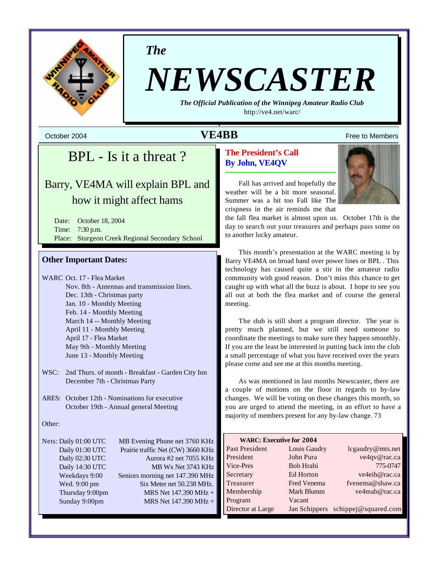

*The*

# *NEWSCASTER*

*The Official Publication of the Winnipeg Amateur Radio Club* <http://ve4.net/warc/>

**October 2004 Constant Constant Constant Constant Constant Constant Constant Constant Constant Constant Constant Constant Constant Constant Constant Constant Constant Constant Constant Constant Constant Constant Constant** 

# BPL - Is it a threat ?

# Barry, VE4MA will explain BPL and how it might affect hams

Date: October 18, 2004 Time: 7:30 p.m. Place: Sturgeon Creek Regional Secondary School

# **Other Important Dates:**

WARC Oct. 17 - Flea Market Nov. 8th - Antennas and transmission lines. Dec. 13th - Christmas party Jan. 10 - Monthly Meeting Feb. 14 - Monthly Meeting March 14 -- Monthly Meeting April 11 - Monthly Meeting April 17 - Flea Market May 9th - Monthly Meeting June 13 - Monthly Meeting

WSC: 2nd Thurs. of month - Breakfast - Garden City Inn December 7th - Christmas Party

ARES: October 12th - Nominations for executive October 19th - Annual general Meeting

## Other:

Nets: Daily 01:00 UTC MB Evening Phone net 3760 KHz Daily 01:30 UTC Prairie traffic Net (CW) 3660 KHz Daily 02:30 UTC Aurora #2 net 7055 KHz Daily 14:30 UTC MB Wx Net 3743 KHz Weekdays 9:00 Seniors morning net 147.390 MHz Wed. 9:00 pm Six Meter net 50.238 MHz. Thursday 9:00pm MRS Net 147.390 MHz + Sunday 9:00pm MRS Net 147.390 MHz +

# **The President's Call By John, VE4QV**

Fall has arrived and hopefully the weather will be a bit more seasonal. Summer was a bit too Fall like The crispness in the air reminds me that

the fall flea market is almost upon us. October 17th is the day to search out your treasures and perhaps pass some on to another lucky amateur.

This month's presentation at the WARC meeting is by Barry VE4MA on broad band over power lines or BPL . This technology has caused quite a stir in the amateur radio community with good reason. Don't miss this chance to get caught up with what all the buzz is about. I hope to see you all out at both the flea market and of course the general meeting.

The club is still short a program director. The year is pretty much planned, but we still need someone to coordinate the meetings to make sure they happen smoothly. If you are the least be interested in putting back into the club a small percentage of what you have received over the years please come and see me at this months meeting.

As was mentioned in last months Newscaster, there are a couple of motions on the floor in regards to by-law changes. We will be voting on these changes this month, so you are urged to attend the meeting, in an effort to have a majority of members present for any by-law change. 73

| <b>WARC: Executive for 2004</b> |                  |                                    |  |  |  |
|---------------------------------|------------------|------------------------------------|--|--|--|
| Past President                  | Louis Gaudry     | lcgaudry@mts.net                   |  |  |  |
| President                       | John Pura        | ve4qv@rac.ca                       |  |  |  |
| Vice-Pres                       | <b>Bob Hrabi</b> | 775-0747                           |  |  |  |
| Secretary                       | Ed Horton        | ve4eih@rac.ca                      |  |  |  |
| Treasurer                       | Fred Venema      | fvenema@shaw.ca                    |  |  |  |
| Membership                      | Mark Blumm       | ve4mab@rac.ca                      |  |  |  |
| Program                         | Vacant           |                                    |  |  |  |
| Director at Large               |                  | Jan Schippers schippej@squared.com |  |  |  |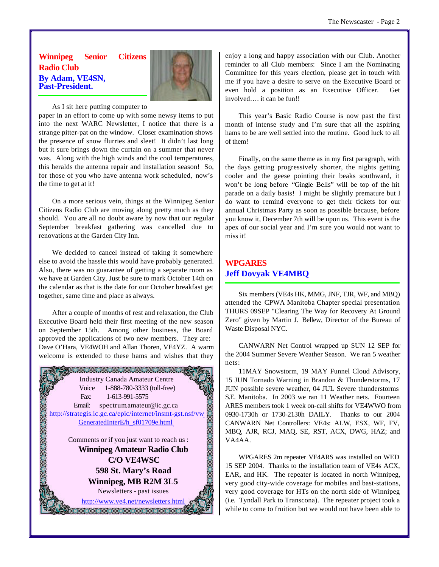# **Winnipeg Senior Citizens Radio Club By Adam, VE4SN, Past-President.**



As I sit here putting computer to

paper in an effort to come up with some newsy items to put into the next WARC Newsletter, I notice that there is a strange pitter-pat on the window. Closer examination shows the presence of snow flurries and sleet! It didn't last long but it sure brings down the curtain on a summer that never was. Along with the high winds and the cool temperatures, this heralds the antenna repair and installation season! So, for those of you who have antenna work scheduled, now's the time to get at it!

On a more serious vein, things at the Winnipeg Senior Citizens Radio Club are moving along pretty much as they should. You are all no doubt aware by now that our regular September breakfast gathering was cancelled due to renovations at the Garden City Inn.

We decided to cancel instead of taking it somewhere else to avoid the hassle this would have probably generated. Also, there was no guarantee of getting a separate room as we have at Garden City. Just be sure to mark October 14th on the calendar as that is the date for our October breakfast get together, same time and place as always.

After a couple of months of rest and relaxation, the Club Executive Board held their first meeting of the new season on September 15th. Among other business, the Board approved the applications of two new members. They are: Dave O'Hara, VE4WOH and Allan Thoren, VE4YZ. A warm welcome is extended to these hams and wishes that they



enjoy a long and happy association with our Club. Another reminder to all Club members: Since I am the Nominating Committee for this years election, please get in touch with me if you have a desire to serve on the Executive Board or even hold a position as an Executive Officer. Get involved…. it can be fun!!

This year's Basic Radio Course is now past the first month of intense study and I'm sure that all the aspiring hams to be are well settled into the routine. Good luck to all of them!

Finally, on the same theme as in my first paragraph, with the days getting progressively shorter, the nights getting cooler and the geese pointing their beaks southward, it won't be long before "Gingle Bells" will be top of the hit parade on a daily basis! I might be slightly premature but I do want to remind everyone to get their tickets for our annual Christmas Party as soon as possible because, before you know it, December 7th will be upon us. This event is the apex of our social year and I'm sure you would not want to miss it!

# **WPGARES Jeff Dovyak VE4MBQ**

Six members (VE4s HK, MMG, JNF, TJR, WF, and MBQ) attended the CPWA Manitoba Chapter special presentation THURS 09SEP "Clearing The Way for Recovery At Ground Zero" given by Martin J. Bellew, Director of the Bureau of Waste Disposal NYC.

CANWARN Net Control wrapped up SUN 12 SEP for the 2004 Summer Severe Weather Season. We ran 5 weather nets:

11MAY Snowstorm, 19 MAY Funnel Cloud Advisory, 15 JUN Tornado Warning in Brandon & Thunderstorms, 17 JUN possible severe weather, 04 JUL Severe thunderstorms S.E. Manitoba. In 2003 we ran 11 Weather nets. Fourteen ARES members took 1 week on-call shifts for VE4WWO from 0930-1730h or 1730-2130h DAILY. Thanks to our 2004 CANWARN Net Controllers: VE4s: ALW, ESX, WF, FV, MBQ, AJR, RCJ, MAQ, SE, RST, ACX, DWG, HAZ; and VA4AA.

WPGARES 2m repeater VE4ARS was installed on WED 15 SEP 2004. Thanks to the installation team of VE4s ACX, EAR, and HK. The repeater is located in north Winnipeg, very good city-wide coverage for mobiles and bast-stations, very good coverage for HTs on the north side of Winnipeg (i.e. Tyndall Park to Transcona). The repeater project took a while to come to fruition but we would not have been able to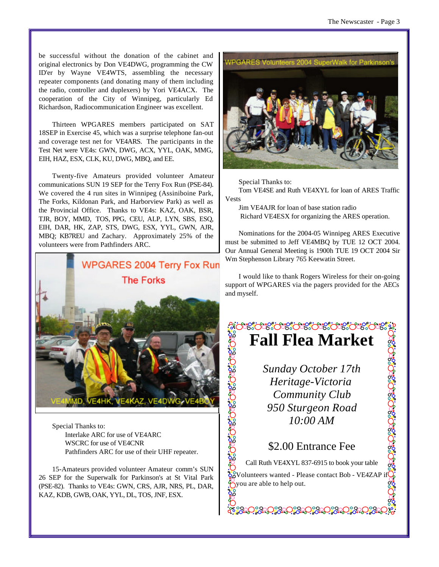be successful without the donation of the cabinet and original electronics by Don VE4DWG, programming the CW ID'er by Wayne VE4WTS, assembling the necessary repeater components (and donating many of them including the radio, controller and duplexers) by Yori VE4ACX. The cooperation of the City of Winnipeg, particularly Ed Richardson, Radiocommunication Engineer was excellent.

Thirteen WPGARES members participated on SAT 18SEP in Exercise 45, which was a surprise telephone fan-out and coverage test net for VE4ARS. The participants in the Test Net were VE4s: GWN, DWG, ACX, YYL, OAK, MMG, EIH, HAZ, ESX, CLK, KU, DWG, MBQ, and EE.

Twenty-five Amateurs provided volunteer Amateur communications SUN 19 SEP for the Terry Fox Run (PSE-84). We covered the 4 run sites in Winnipeg (Assiniboine Park, The Forks, Kildonan Park, and Harborview Park) as well as the Provincial Office. Thanks to VE4s: KAZ, OAK, BSR, TJR, BOY, MMD, TOS, PPG, CEU, ALP, LYN, SBS, ESQ, EIH, DAR, HK, ZAP, STS, DWG, ESX, YYL, GWN, AJR, MBQ; KB7REU and Zachary. Approximately 25% of the volunteers were from Pathfinders ARC.



Special Thanks to: Interlake ARC for use of VE4ARC WSCRC for use of VE4CNR Pathfinders ARC for use of their UHF repeater.

15-Amateurs provided volunteer Amateur comm's SUN 26 SEP for the Superwalk for Parkinson's at St Vital Park (PSE-82). Thanks to VE4s: GWN, CRS, AJR, NRS, PL, DAR, KAZ, KDB, GWB, OAK, YYL, DL, TOS, JNF, ESX.



Special Thanks to:

Tom VE4SE and Ruth VE4XYL for loan of ARES Traffic Vests

Jim VE4AJR for loan of base station radio Richard VE4ESX for organizing the ARES operation.

Nominations for the 2004-05 Winnipeg ARES Executive must be submitted to Jeff VE4MBQ by TUE 12 OCT 2004. Our Annual General Meeting is 1900h TUE 19 OCT 2004 Sir Wm Stephenson Library 765 Keewatin Street.

I would like to thank Rogers Wireless for their on-going support of WPGARES via the pagers provided for the AECs and myself.

# းလံုးႏွင္းလံုးလံုးလံုးလံုးလံုးလံုးလံုးလံု **Fall Flea Market**

*Sunday October 17th Heritage-Victoria Community Club 950 Sturgeon Road 10:00 AM*

ား အသုံးဝေးခွင့်သူ အသုံးဝေးခွင့်သူ

# \$2.00 Entrance Fee

**PostopedCeapea** 

Call Ruth VE4XYL 837-6915 to book your table

၁၁.<br>၁၁. Volunteers wanted - Please contact Bob - VE4ZAP if  $\sum_{i=1}^{n}$  you are able to help out.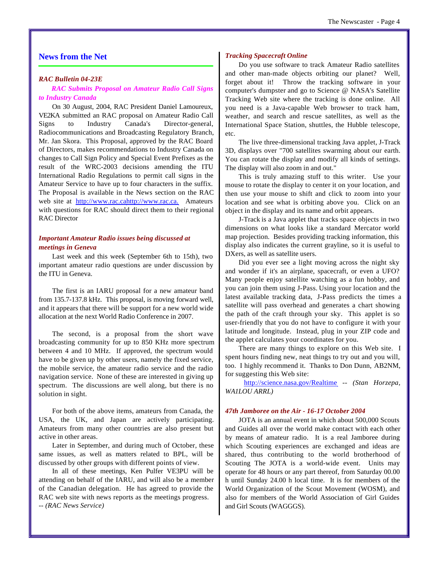# **News from the Net**

#### *RAC Bulletin 04-23E*

*RAC Submits Proposal on Amateur Radio Call Signs to Industry Canada* 

On 30 August, 2004, RAC President Daniel Lamoureux, VE2KA submitted an RAC proposal on Amateur Radio Call Signs to Industry Canada's Director-general, Radiocommunications and Broadcasting Regulatory Branch, Mr. Jan Skora. This Proposal, approved by the RAC Board of Directors, makes recommendations to Industry Canada on changes to Call Sign Policy and Special Event Prefixes as the result of the WRC-2003 decisions amending the ITU International Radio Regulations to permit call signs in the Amateur Service to have up to four characters in the suffix. The Proposal is available in the News section on the RAC web site at [http://www.rac.](http://www.rac)[cahttp://www.rac.ca.](cahttp://www.rac.ca) Amateurs with questions for RAC should direct them to their regional RAC Director

## *Important Amateur Radio issues being discussed at meetings in Geneva*

Last week and this week (September 6th to 15th), two important amateur radio questions are under discussion by the ITU in Geneva.

The first is an IARU proposal for a new amateur band from 135.7-137.8 kHz. This proposal, is moving forward well, and it appears that there will be support for a new world wide allocation at the next World Radio Conference in 2007.

The second, is a proposal from the short wave broadcasting community for up to 850 KHz more spectrum between 4 and 10 MHz. If approved, the spectrum would have to be given up by other users, namely the fixed service, the mobile service, the amateur radio service and the radio navigation service. None of these are interested in giving up spectrum. The discussions are well along, but there is no solution in sight.

For both of the above items, amateurs from Canada, the USA, the UK, and Japan are actively participating. Amateurs from many other countries are also present but active in other areas.

Later in September, and during much of October, these same issues, as well as matters related to BPL, will be discussed by other groups with different points of view.

In all of these meetings, Ken Pulfer VE3PU will be attending on behalf of the IARU, and will also be a member of the Canadian delegation. He has agreed to provide the RAC web site with news reports as the meetings progress. *-- (RAC News Service)* 

#### *Tracking Spacecraft Online*

Do you use software to track Amateur Radio satellites and other man-made objects orbiting our planet? Well, forget about it! Throw the tracking software in your computer's dumpster and go to Science @ NASA's Satellite Tracking Web site where the tracking is done online. All you need is a Java-capable Web browser to track ham, weather, and search and rescue satellites, as well as the International Space Station, shuttles, the Hubble telescope, etc.

The live three-dimensional tracking Java applet, J-Track 3D, displays over "700 satellites swarming about our earth. You can rotate the display and modify all kinds of settings. The display will also zoom in and out."

This is truly amazing stuff to this writer. Use your mouse to rotate the display to center it on your location, and then use your mouse to shift and click to zoom into your location and see what is orbiting above you. Click on an object in the display and its name and orbit appears.

J-Track is a Java applet that tracks space objects in two dimensions on what looks like a standard Mercator world map projection. Besides providing tracking information, this display also indicates the current grayline, so it is useful to DXers, as well as satellite users.

Did you ever see a light moving across the night sky and wonder if it's an airplane, spacecraft, or even a UFO? Many people enjoy satellite watching as a fun hobby, and you can join them using J-Pass. Using your location and the latest available tracking data, J-Pass predicts the times a satellite will pass overhead and generates a chart showing the path of the craft through your sky. This applet is so user-friendly that you do not have to configure it with your latitude and longitude. Instead, plug in your ZIP code and the applet calculates your coordinates for you.

There are many things to explore on this Web site. I spent hours finding new, neat things to try out and you will, too. I highly recommend it. Thanks to Don Dunn, AB2NM, for suggesting this Web site:

<http://science.nasa.gov/Realtime> *-- (Stan Horzepa, WA1LOU ARRL)* 

#### *47th Jamboree on the Air - 16-17 October 2004*

JOTA is an annual event in which about 500,000 Scouts and Guides all over the world make contact with each other by means of amateur radio. It is a real Jamboree during which Scouting experiences are exchanged and ideas are shared, thus contributing to the world brotherhood of Scouting The JOTA is a world-wide event. Units may operate for 48 hours or any part thereof, from Saturday 00.00 h until Sunday 24.00 h local time. It is for members of the World Organization of the Scout Movement (WOSM), and also for members of the World Association of Girl Guides and Girl Scouts (WAGGGS).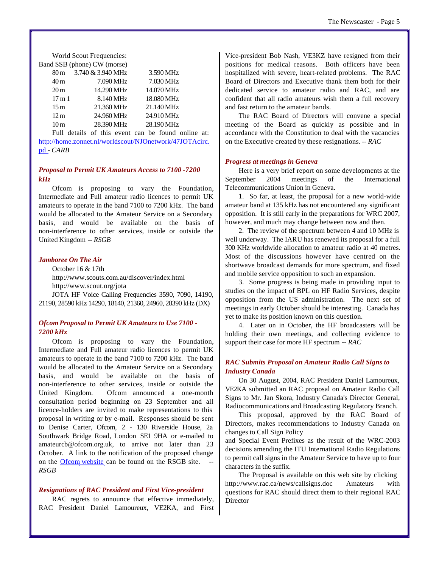World Scout Frequencies:

|                 | Band SSB (phone) CW (morse)                                                                                                                                                                                                                                                                                                      |            |  |
|-----------------|----------------------------------------------------------------------------------------------------------------------------------------------------------------------------------------------------------------------------------------------------------------------------------------------------------------------------------|------------|--|
| 80 m            | 3.740 & 3.940 MHz                                                                                                                                                                                                                                                                                                                | 3.590 MHz  |  |
| 40 <sub>m</sub> | 7.090 MHz                                                                                                                                                                                                                                                                                                                        | 7.030 MHz  |  |
| 20 <sub>m</sub> | 14.290 MHz                                                                                                                                                                                                                                                                                                                       | 14.070 MHz |  |
| 17m1            | 8.140 MHz                                                                                                                                                                                                                                                                                                                        | 18.080 MHz |  |
| 15 <sub>m</sub> | 21.360 MHz                                                                                                                                                                                                                                                                                                                       | 21.140 MHz |  |
| 12 <sub>m</sub> | 24.960 MHz                                                                                                                                                                                                                                                                                                                       | 24.910 MHz |  |
| 10 <sub>m</sub> | 28.390 MHz                                                                                                                                                                                                                                                                                                                       | 28.190 MHz |  |
|                 | $\alpha$ and $\alpha$ and $\alpha$ and $\alpha$ and $\alpha$ and $\alpha$ and $\alpha$ and $\alpha$ and $\alpha$ and $\alpha$ and $\alpha$ and $\alpha$ and $\alpha$ and $\alpha$ and $\alpha$ and $\alpha$ and $\alpha$ and $\alpha$ and $\alpha$ and $\alpha$ and $\alpha$ and $\alpha$ and $\alpha$ and $\alpha$ and $\alpha$ | $\cdots$   |  |

Full details of this event can be found online at: [http://home.zonnet.nl/worldscout/NJOnetwork/47JOTAcirc.](http://home.zonnet.nl/worldscout/NJOnetwork/47JOTAcirc) pd *- CARB*

# *Proposal to Permit UK Amateurs Access to 7100 -7200 kHz*

Ofcom is proposing to vary the Foundation, Intermediate and Full amateur radio licences to permit UK amateurs to operate in the band 7100 to 7200 kHz. The band would be allocated to the Amateur Service on a Secondary basis, and would be available on the basis of non-interference to other services, inside or outside the United Kingdom *-- RSGB*

## *Jamboree On The Air*

October 16 & 17th <http://www.scouts.com.au/discover/index.html> <http://www.scout.org/jota> JOTA HF Voice Calling Frequencies 3590, 7090, 14190, 21190, 28590 kHz 14290, 18140, 21360, 24960, 28390 kHz (DX)

# *Ofcom Proposal to Permit UK Amateurs to Use 7100 - 7200 kHz*

Ofcom is proposing to vary the Foundation, Intermediate and Full amateur radio licences to permit UK amateurs to operate in the band 7100 to 7200 kHz. The band would be allocated to the Amateur Service on a Secondary basis, and would be available on the basis of non-interference to other services, inside or outside the United Kingdom. Ofcom announced a one-month consultation period beginning on 23 September and all licence-holders are invited to make representations to this proposal in writing or by e-mail. Responses should be sent to Denise Carter, Ofcom, 2 - 130 Riverside House, 2a Southwark Bridge Road, London SE1 9HA or e-mailed to amateurcb@ofcom.org.uk, to arrive not later than 23 October. A link to the notification of the proposed change on the Ofcom website can be found on the RSGB site. *RSGB*

### *Resignations of RAC President and First Vice-president*

RAC regrets to announce that effective immediately, RAC President Daniel Lamoureux, VE2KA, and First Vice-president Bob Nash, VE3KZ have resigned from their positions for medical reasons. Both officers have been hospitalized with severe, heart-related problems. The RAC Board of Directors and Executive thank them both for their dedicated service to amateur radio and RAC, and are confident that all radio amateurs wish them a full recovery and fast return to the amateur bands.

The RAC Board of Directors will convene a special meeting of the Board as quickly as possible and in accordance with the Constitution to deal with the vacancies on the Executive created by these resignations. *-- RAC*

### *Progress at meetings in Geneva*

Here is a very brief report on some developments at the September 2004 meetings of the International Telecommunications Union in Geneva.

1. So far, at least, the proposal for a new world-wide amateur band at 135 kHz has not encountered any significant opposition. It is still early in the preparations for WRC 2007, however, and much may change between now and then.

2. The review of the spectrum between 4 and 10 MHz is well underway. The IARU has renewed its proposal for a full 300 KHz worldwide allocation to amateur radio at 40 metres. Most of the discussions however have centred on the shortwave broadcast demands for more spectrum, and fixed and mobile service opposition to such an expansion.

3. Some progress is being made in providing input to studies on the impact of BPL on HF Radio Services, despite opposition from the US administration. The next set of meetings in early October should be interesting. Canada has yet to make its position known on this question.

4. Later on in October, the HF broadcasters will be holding their own meetings, and collecting evidence to support their case for more HF spectrum *-- RAC*

# *RAC Submits Proposal on Amateur Radio Call Signs to Industry Canada*

On 30 August, 2004, RAC President Daniel Lamoureux, VE2KA submitted an RAC proposal on Amateur Radio Call Signs to Mr. Jan Skora, Industry Canada's Director General, Radiocommunications and Broadcasting Regulatory Branch.

This proposal, approved by the RAC Board of Directors, makes recommendations to Industry Canada on changes to Call Sign Policy

and Special Event Prefixes as the result of the WRC-2003 decisions amending the ITU International Radio Regulations to permit call signs in the Amateur Service to have up to four characters in the suffix.

The Proposal is available on this web site by clicking <http://www.rac.ca/news/callsigns.doc> Amateurs with questions for RAC should direct them to their regional RAC **Director**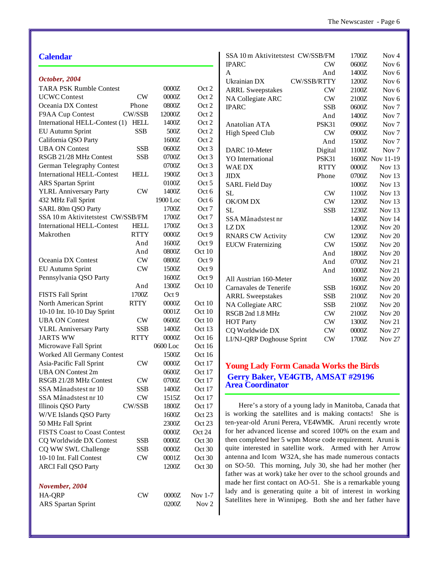| October, 2004<br><b>TARA PSK Rumble Contest</b><br><b>UCWC</b> Contest<br><b>CW</b><br>Oceania DX Contest<br>Phone<br>CW/SSB<br>F9AA Cup Contest<br>International HELL-Contest (1)<br><b>HELL</b><br><b>EU Autumn Sprint</b><br><b>SSB</b><br>California QSO Party<br><b>UBA ON Contest</b><br><b>SSB</b><br>RSGB 21/28 MHz Contest<br>SSB<br><b>German Telegraphy Contest</b> | 0000Z<br>0000Z<br>0800Z<br>12000Z<br>1400Z<br>500Z<br>1600Z<br>0600Z<br>0700Z | Oct 2<br>Oct 2<br>Oct 2<br>Oct 2<br>Oct 2<br>Oct 2<br>Oct 2 |
|--------------------------------------------------------------------------------------------------------------------------------------------------------------------------------------------------------------------------------------------------------------------------------------------------------------------------------------------------------------------------------|-------------------------------------------------------------------------------|-------------------------------------------------------------|
|                                                                                                                                                                                                                                                                                                                                                                                |                                                                               |                                                             |
|                                                                                                                                                                                                                                                                                                                                                                                |                                                                               |                                                             |
|                                                                                                                                                                                                                                                                                                                                                                                |                                                                               |                                                             |
|                                                                                                                                                                                                                                                                                                                                                                                |                                                                               |                                                             |
|                                                                                                                                                                                                                                                                                                                                                                                |                                                                               |                                                             |
|                                                                                                                                                                                                                                                                                                                                                                                |                                                                               |                                                             |
|                                                                                                                                                                                                                                                                                                                                                                                |                                                                               |                                                             |
|                                                                                                                                                                                                                                                                                                                                                                                |                                                                               |                                                             |
|                                                                                                                                                                                                                                                                                                                                                                                |                                                                               | Oct 3                                                       |
|                                                                                                                                                                                                                                                                                                                                                                                |                                                                               | Oct 3                                                       |
|                                                                                                                                                                                                                                                                                                                                                                                | 0700Z                                                                         | Oct 3                                                       |
| <b>International HELL-Contest</b><br><b>HELL</b>                                                                                                                                                                                                                                                                                                                               | 1900Z                                                                         | Oct 3                                                       |
| <b>ARS</b> Spartan Sprint                                                                                                                                                                                                                                                                                                                                                      | 0100Z                                                                         | Oct 5                                                       |
| <b>YLRL Anniversary Party</b><br>CW                                                                                                                                                                                                                                                                                                                                            | 1400Z                                                                         | Oct 6                                                       |
| 432 MHz Fall Sprint                                                                                                                                                                                                                                                                                                                                                            | 1900 Loc                                                                      | Oct 6                                                       |
| SARL 80m QSO Party                                                                                                                                                                                                                                                                                                                                                             | 1700Z                                                                         | Oct 7                                                       |
| SSA 10 m Aktivitetstest CW/SSB/FM                                                                                                                                                                                                                                                                                                                                              |                                                                               |                                                             |
| <b>HELL</b>                                                                                                                                                                                                                                                                                                                                                                    | 1700Z                                                                         | Oct 7                                                       |
| <b>International HELL-Contest</b><br><b>RTTY</b>                                                                                                                                                                                                                                                                                                                               | 1700Z                                                                         | Oct 3                                                       |
| Makrothen                                                                                                                                                                                                                                                                                                                                                                      | 0000Z                                                                         | Oct 9                                                       |
| And                                                                                                                                                                                                                                                                                                                                                                            | 1600Z                                                                         | Oct 9                                                       |
| And                                                                                                                                                                                                                                                                                                                                                                            | 0800Z                                                                         | Oct 10                                                      |
| ${\rm\bf CW}$<br>Oceania DX Contest                                                                                                                                                                                                                                                                                                                                            | 0800Z                                                                         | Oct 9                                                       |
| <b>EU Autumn Sprint</b><br><b>CW</b>                                                                                                                                                                                                                                                                                                                                           | 1500Z                                                                         | Oct 9                                                       |
| Pennsylvania QSO Party                                                                                                                                                                                                                                                                                                                                                         | 1600Z                                                                         | Oct 9                                                       |
| And                                                                                                                                                                                                                                                                                                                                                                            | 1300Z                                                                         | Oct 10                                                      |
| 1700Z<br><b>FISTS Fall Sprint</b>                                                                                                                                                                                                                                                                                                                                              | Oct 9                                                                         |                                                             |
| North American Sprint<br><b>RTTY</b>                                                                                                                                                                                                                                                                                                                                           | 0000Z                                                                         | Oct 10                                                      |
| 10-10 Int. 10-10 Day Sprint                                                                                                                                                                                                                                                                                                                                                    | 0001Z                                                                         | Oct 10                                                      |
| <b>UBA ON Contest</b><br><b>CW</b>                                                                                                                                                                                                                                                                                                                                             | 0600Z                                                                         | Oct 10                                                      |
| <b>YLRL Anniversary Party</b><br><b>SSB</b>                                                                                                                                                                                                                                                                                                                                    | 1400Z                                                                         | Oct 13                                                      |
| <b>JARTS WW</b><br><b>RTTY</b>                                                                                                                                                                                                                                                                                                                                                 | 0000Z                                                                         | Oct 16                                                      |
| Microwave Fall Sprint                                                                                                                                                                                                                                                                                                                                                          | 0600 Loc                                                                      | Oct 16                                                      |
| Worked All Germany Contest                                                                                                                                                                                                                                                                                                                                                     | 1500Z                                                                         | Oct 16                                                      |
| Asia-Pacific Fall Sprint<br><b>CW</b>                                                                                                                                                                                                                                                                                                                                          | 0000Z                                                                         | Oct 17                                                      |
| <b>UBA ON Contest 2m</b>                                                                                                                                                                                                                                                                                                                                                       | 0600Z                                                                         | Oct 17                                                      |
| RSGB 21/28 MHz Contest<br>${\rm\bf CW}$                                                                                                                                                                                                                                                                                                                                        | 0700Z                                                                         | Oct 17                                                      |
| SSA Månadstest nr 10<br><b>SSB</b>                                                                                                                                                                                                                                                                                                                                             | 1400Z                                                                         | Oct 17                                                      |
| SSA Månadstest nr 10<br><b>CW</b>                                                                                                                                                                                                                                                                                                                                              | 1515Z                                                                         | Oct 17                                                      |
| Illinois QSO Party<br><b>CW/SSB</b>                                                                                                                                                                                                                                                                                                                                            | 1800Z                                                                         | Oct 17                                                      |
| W/VE Islands QSO Party                                                                                                                                                                                                                                                                                                                                                         | 1600Z                                                                         | Oct 23                                                      |
| 50 MHz Fall Sprint                                                                                                                                                                                                                                                                                                                                                             | 2300Z                                                                         | Oct 23                                                      |
| <b>FISTS Coast to Coast Contest</b>                                                                                                                                                                                                                                                                                                                                            | 0000Z                                                                         | Oct 24                                                      |
| CQ Worldwide DX Contest<br><b>SSB</b>                                                                                                                                                                                                                                                                                                                                          | 0000Z                                                                         | Oct 30                                                      |
| CQ WW SWL Challenge<br><b>SSB</b>                                                                                                                                                                                                                                                                                                                                              | 0000Z                                                                         | Oct 30                                                      |
| 10-10 Int. Fall Contest<br><b>CW</b>                                                                                                                                                                                                                                                                                                                                           | 0001Z                                                                         | Oct 30                                                      |
| <b>ARCI Fall QSO Party</b>                                                                                                                                                                                                                                                                                                                                                     | 1200Z                                                                         | Oct 30                                                      |
|                                                                                                                                                                                                                                                                                                                                                                                |                                                                               |                                                             |
|                                                                                                                                                                                                                                                                                                                                                                                |                                                                               |                                                             |
| November, 2004                                                                                                                                                                                                                                                                                                                                                                 |                                                                               |                                                             |
| HA-QRP<br>CW                                                                                                                                                                                                                                                                                                                                                                   | 0000Z                                                                         | Nov 1-7                                                     |
| <b>ARS</b> Spartan Sprint                                                                                                                                                                                                                                                                                                                                                      | 0200Z                                                                         | Nov <sub>2</sub>                                            |

| SSA 10 m Aktivitetstest CW/SSB/FM |              | 1700Z | Nov <sub>4</sub>  |
|-----------------------------------|--------------|-------|-------------------|
| <b>IPARC</b>                      | CW           | 0600Z | Nov $6$           |
| A                                 | And          | 1400Z | Nov $6$           |
| Ukrainian DX                      | CW/SSB/RTTY  | 1200Z | Nov <sub>6</sub>  |
| <b>ARRL Sweepstakes</b>           | CW           | 2100Z | Nov <sub>6</sub>  |
| NA Collegiate ARC                 | CW           | 2100Z | Nov <sub>6</sub>  |
| <b>IPARC</b>                      | <b>SSB</b>   | 0600Z | Nov <sub>7</sub>  |
|                                   | And          | 1400Z | Nov <sub>7</sub>  |
| Anatolian ATA                     | PSK31        | 0900Z | Nov <sub>7</sub>  |
| <b>High Speed Club</b>            | CW           | 0900Z | Nov <sub>7</sub>  |
|                                   | And          | 1500Z | Nov <sub>7</sub>  |
| DARC 10-Meter                     | Digital      | 1100Z | Nov <sub>7</sub>  |
| <b>YO</b> International           | <b>PSK31</b> |       | 1600Z Nov 11-19   |
| WAE DX                            | <b>RTTY</b>  | 0000Z | Nov $13$          |
| JIDX                              | Phone        | 0700Z | Nov $13$          |
| <b>SARL Field Day</b>             |              | 1000Z | Nov <sub>13</sub> |
| SL                                | CW           | 1100Z | Nov $13$          |
| OK/OM DX                          | CW           | 1200Z | Nov $13$          |
| SL                                | <b>SSB</b>   | 1230Z | Nov $13$          |
| SSA Månadstest nr                 |              | 1400Z | <b>Nov 14</b>     |
| LZ DX                             |              | 1200Z | <b>Nov 20</b>     |
| <b>RNARS CW Activity</b>          | CW           | 1200Z | <b>Nov 20</b>     |
| <b>EUCW Fraternizing</b>          | CW           | 1500Z | Nov $20$          |
|                                   | And          | 1800Z | Nov $20$          |
|                                   | And          | 0700Z | Nov 21            |
|                                   | And          | 1000Z | <b>Nov 21</b>     |
| All Austrian 160-Meter            |              | 1600Z | <b>Nov 20</b>     |
| Carnavales de Tenerife            | <b>SSB</b>   | 1600Z | Nov $20$          |
| <b>ARRL Sweepstakes</b>           | <b>SSB</b>   | 2100Z | <b>Nov 20</b>     |
| NA Collegiate ARC                 | <b>SSB</b>   | 2100Z | <b>Nov 20</b>     |
| RSGB 2nd 1.8 MHz                  | CW           | 2100Z | <b>Nov 20</b>     |
| <b>HOT Party</b>                  | CW           | 1300Z | Nov $21$          |
| CQ Worldwide DX                   | CW           | 0000Z | <b>Nov 27</b>     |
| LI/NJ-QRP Doghouse Sprint         | <b>CW</b>    | 1700Z | <b>Nov 27</b>     |
|                                   |              |       |                   |

# **Ing Lady Form Canada Works the Birds Gerry Baker, VE4GTB, AMSAT #29196 A** Coordinator

Here's a story of a young lady in Manitoba, Canada that orking the satellites and is making contacts! She is rear-old Aruni Perera, VE4WMK. Aruni recently wrote er advanced license and scored 100% on the exam and completed her 5 wpm Morse code requirement. Aruni is interested in satellite work. Armed with her Arrow and Icom W32A, she has made numerous contacts O-50. This morning, July 30, she had her mother (her father was at work) take her over to the school grounds and e her first contact on AO-51. She is a remarkable young and is generating quite a bit of interest in working llites here in Winnipeg. Both she and her father have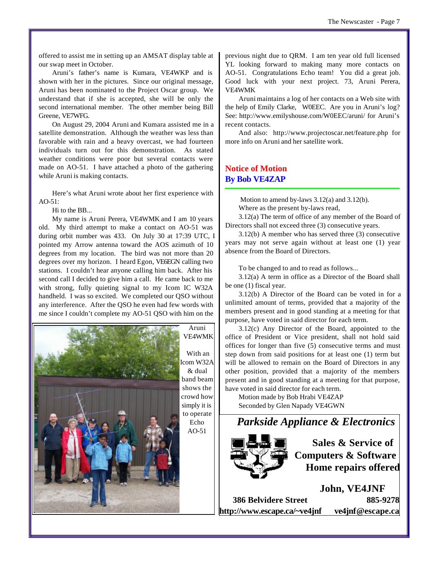offered to assist me in setting up an AMSAT display table at our swap meet in October.

Aruni's father's name is Kumara, VE4WKP and is shown with her in the pictures. Since our original message, Aruni has been nominated to the Project Oscar group. We understand that if she is accepted, she will be only the second international member. The other member being Bill Greene, VE7WFG.

On August 29, 2004 Aruni and Kumara assisted me in a satellite demonstration. Although the weather was less than favorable with rain and a heavy overcast, we had fourteen individuals turn out for this demonstration. As stated weather conditions were poor but several contacts were made on AO-51. I have attached a photo of the gathering while Aruni is making contacts.

Here's what Aruni wrote about her first experience with AO-51:

Hi to the BB...

My name is Aruni Perera, VE4WMK and I am 10 years old. My third attempt to make a contact on AO-51 was during orbit number was 433. On July 30 at 17:39 UTC, I pointed my Arrow antenna toward the AOS azimuth of 10 degrees from my location. The bird was not more than 20 degrees over my horizon. I heard Egon, VE6EGN calling two stations. I couldn't hear anyone calling him back. After his second call I decided to give him a call. He came back to me with strong, fully quieting signal to my Icom IC W32A handheld. I was so excited. We completed our QSO without any interference. After the QSO he even had few words with me since I couldn't complete my AO-51 QSO with him on the



previous night due to QRM. I am ten year old full licensed YL looking forward to making many more contacts on AO-51. Congratulations Echo team! You did a great job. Good luck with your next project. 73, Aruni Perera, VE4WMK

Aruni maintains a log of her contacts on a Web site with the help of Emily Clarke, W0EEC. Are you in Aruni's log? See: <http://www.emilyshouse.com/W0EEC/aruni/> for Aruni's recent contacts.

And also: <http://www.projectoscar.net/feature.php> for more info on Aruni and her satellite work.

# **Notice of Motion By Bob VE4ZAP**

 Motion to amend by-laws 3.12(a) and 3.12(b). Where as the present by-laws read,

3.12(a) The term of office of any member of the Board of Directors shall not exceed three (3) consecutive years.

3.12(b) A member who has served three (3) consecutive years may not serve again without at least one (1) year absence from the Board of Directors.

To be changed to and to read as follows...

3.12(a) A term in office as a Director of the Board shall be one (1) fiscal year.

3.12(b) A Director of the Board can be voted in for a unlimited amount of terms, provided that a majority of the members present and in good standing at a meeting for that purpose, have voted in said director for each term.

3.12(c) Any Director of the Board, appointed to the office of President or Vice president, shall not hold said offices for longer than five (5) consecutive terms and must step down from said positions for at least one (1) term but will be allowed to remain on the Board of Directors in any other position, provided that a majority of the members present and in good standing at a meeting for that purpose, have voted in said director for each term.

Motion made by Bob Hrabi VE4ZAP Seconded by Glen Napady VE4GWN



**Sales & Service of Computers & Software Home repairs offered**

**John, VE4JNF 386 Belvidere Street 885-9278 <http://www.escape.ca/~ve4jnf> ve4jnf@escape.ca**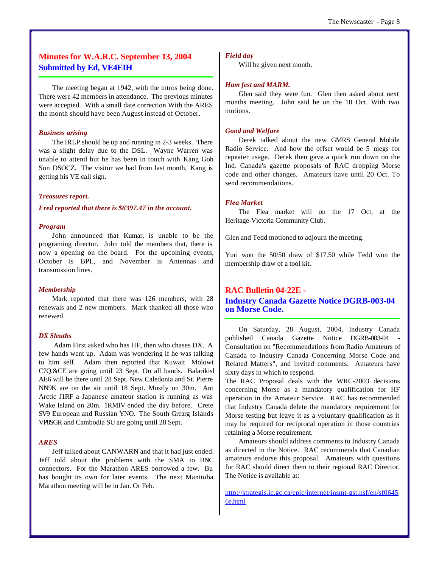# **Minutes for W.A.R.C. September 13, 2004 Submitted by Ed, VE4EIH**

The meeting began at 1942, with the intros being done. There were 42 members in attendance. The previous minutes were accepted. With a small date correction With the ARES the month should have been August instead of October.

#### *Business arising*

The IRLP should be up and running in 2-3 weeks. There was a slight delay due to the DSL. Wayne Warren was unable to attend but he has been in touch with Kang Goh Son DSOCZ. The visitor we had from last month, Kang is getting his VE call sign.

#### *Treasures report.*

*Fred reported that there is \$6397.47 in the account.*

#### *Program*

John announced that Kumar, is unable to be the programing director. John told the members that, there is now a opening on the board. For the upcoming events, October is BPL, and November is Antennas and transmission lines.

#### *Membership*

Mark reported that there was 126 members, with 28 renewals and 2 new members. Mark thanked all those who renewed.

#### *DX Sleuths*

 Adam First asked who has HF, then who chases DX. A few hands went up. Adam was wondering if he was talking to him self. Adam then reported that Kuwait Molowi C7Q,&CE are going until 23 Sept. On all bands. Balarikisl AE6 will be there until 28 Sept. New Caledonia and St. Pierre NN9K are on the air until 18 Sept. Mostly on 30m. Ant Arctic J1RF a Japanese amateur station is running as was Wake Island on 20m. 1RMIV ended the day before. Crete SV9 European and Russian YNO. The South Grearg Islands VP8SGR and Cambodia SU are going until 28 Sept.

#### *ARES*

Jeff talked about CANWARN and that it had just ended. Jeff told about the problems with the SMA to BNC connectors. For the Marathon ARES borrowed a few. Bu has bought its own for later events. The next Manitoba Marathon meeting will be in Jan. Or Feb.

#### *Field day*

Will be given next month.

#### *Ham fest and MARM.*

Glen said they were fun. Glen then asked about next months meeting. John said be on the 18 Oct. With two motions.

#### *Good and Welfare*

Derek talked about the new GMRS General Mobile Radio Service. And how the offset would be 5 megs for repeater usage. Derek then gave a quick run down on the Ind. Canada's gazette proposals of RAC dropping Morse code and other changes. Amateurs have until 20 Oct. To send recommendations.

#### *Flea Market*

The Flea market will on the 17 Oct, at the Heritage-Victoria Community Club.

Glen and Tedd motioned to adjourn the meeting.

Yuri won the 50/50 draw of \$17.50 while Tedd won the membership draw of a tool kit.

### **RAC Bulletin 04-22E -**

# **Industry Canada Gazette Notice DGRB-003-04 on Morse Code.**

On Saturday, 28 August, 2004, Industry Canada published Canada Gazette Notice DGRB-003-04 - Consultation on "Recommendations from Radio Amateurs of Canada to Industry Canada Concerning Morse Code and Related Matters", and invited comments. Amateurs have sixty days in which to respond.

The RAC Proposal deals with the WRC-2003 decisions concerning Morse as a mandatory qualification for HF operation in the Amateur Service. RAC has recommended that Industry Canada delete the mandatory requirement for Morse testing but leave it as a voluntary qualification as it may be required for reciprocal operation in those countries retaining a Morse requirement.

Amateurs should address comments to Industry Canada as directed in the Notice. RAC recommends that Canadian amateurs endorse this proposal. Amateurs with questions for RAC should direct them to their regional RAC Director. The Notice is available at:

<http://strategis.ic.gc.ca/epic/internet/insmt-gst.nsf/en/sf0645> 6e.html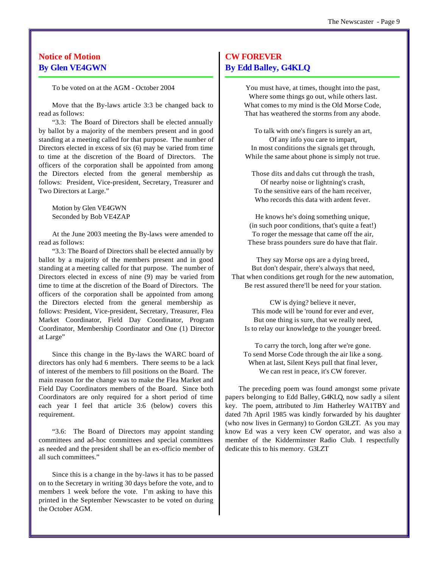# **Notice of Motion By Glen VE4GWN**

To be voted on at the AGM - October 2004

Move that the By-laws article 3:3 be changed back to read as follows:

"3.3: The Board of Directors shall be elected annually by ballot by a majority of the members present and in good standing at a meeting called for that purpose. The number of Directors elected in excess of six (6) may be varied from time to time at the discretion of the Board of Directors. The officers of the corporation shall be appointed from among the Directors elected from the general membership as follows: President, Vice-president, Secretary, Treasurer and Two Directors at Large."

Motion by Glen VE4GWN Seconded by Bob VE4ZAP

At the June 2003 meeting the By-laws were amended to read as follows:

"3.3: The Board of Directors shall be elected annually by ballot by a majority of the members present and in good standing at a meeting called for that purpose. The number of Directors elected in excess of nine (9) may be varied from time to time at the discretion of the Board of Directors. The officers of the corporation shall be appointed from among the Directors elected from the general membership as follows: President, Vice-president, Secretary, Treasurer, Flea Market Coordinator, Field Day Coordinator, Program Coordinator, Membership Coordinator and One (1) Director at Large"

Since this change in the By-laws the WARC board of directors has only had 6 members. There seems to be a lack of interest of the members to fill positions on the Board. The main reason for the change was to make the Flea Market and Field Day Coordinators members of the Board. Since both Coordinators are only required for a short period of time each year I feel that article 3:6 (below) covers this requirement.

"3.6: The Board of Directors may appoint standing committees and ad-hoc committees and special committees as needed and the president shall be an ex-officio member of all such committees."

Since this is a change in the by-laws it has to be passed on to the Secretary in writing 30 days before the vote, and to members 1 week before the vote. I'm asking to have this printed in the September Newscaster to be voted on during the October AGM.

# **CW FOREVER By Edd Balley, G4KLQ**

You must have, at times, thought into the past, Where some things go out, while others last. What comes to my mind is the Old Morse Code, That has weathered the storms from any abode.

To talk with one's fingers is surely an art, Of any info you care to impart, In most conditions the signals get through, While the same about phone is simply not true.

Those dits and dahs cut through the trash, Of nearby noise or lightning's crash, To the sensitive ears of the ham receiver, Who records this data with ardent fever.

He knows he's doing something unique, (in such poor conditions, that's quite a feat!) To roger the message that came off the air, These brass pounders sure do have that flair.

They say Morse ops are a dying breed, But don't despair, there's always that need, That when conditions get rough for the new automation, Be rest assured there'll be need for your station.

CW is dying? believe it never, This mode will be 'round for ever and ever, But one thing is sure, that we really need, Is to relay our knowledge to the younger breed.

To carry the torch, long after we're gone. To send Morse Code through the air like a song. When at last, Silent Keys pull that final lever, We can rest in peace, it's CW forever.

The preceding poem was found amongst some private papers belonging to Edd Balley, G4KLQ, now sadly a silent key. The poem, attributed to Jim Hatherley WA1TBY and dated 7th April 1985 was kindly forwarded by his daughter (who now lives in Germany) to Gordon G3LZT. As you may know Ed was a very keen CW operator, and was also a member of the Kidderminster Radio Club. I respectfully dedicate this to his memory. G3LZT